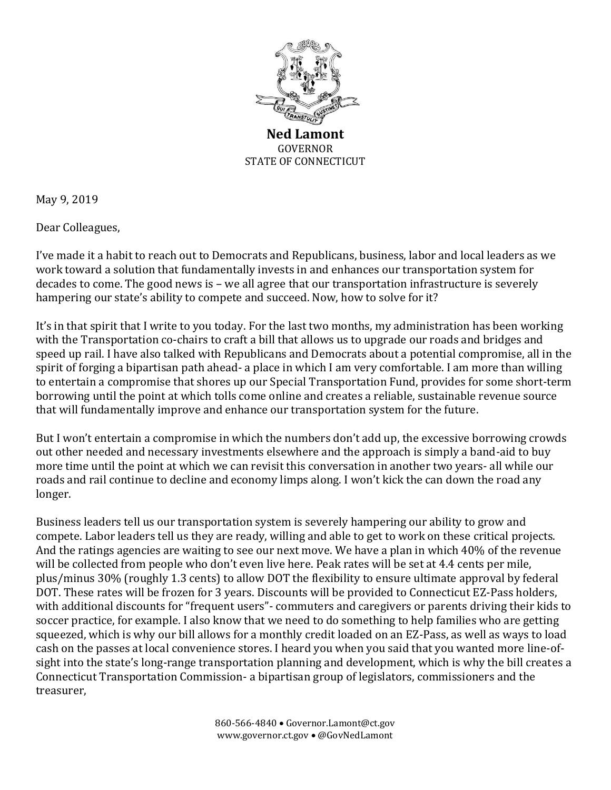

**Ned Lamont** GOVERNOR STATE OF CONNECTICUT

May 9, 2019

Dear Colleagues,

I've made it a habit to reach out to Democrats and Republicans, business, labor and local leaders as we work toward a solution that fundamentally invests in and enhances our transportation system for decades to come. The good news is – we all agree that our transportation infrastructure is severely hampering our state's ability to compete and succeed. Now, how to solve for it?

It's in that spirit that I write to you today. For the last two months, my administration has been working with the Transportation co-chairs to craft a bill that allows us to upgrade our roads and bridges and speed up rail. I have also talked with Republicans and Democrats about a potential compromise, all in the spirit of forging a bipartisan path ahead- a place in which I am very comfortable. I am more than willing to entertain a compromise that shores up our Special Transportation Fund, provides for some short-term borrowing until the point at which tolls come online and creates a reliable, sustainable revenue source that will fundamentally improve and enhance our transportation system for the future.

But I won't entertain a compromise in which the numbers don't add up, the excessive borrowing crowds out other needed and necessary investments elsewhere and the approach is simply a band-aid to buy more time until the point at which we can revisit this conversation in another two years- all while our roads and rail continue to decline and economy limps along. I won't kick the can down the road any longer.

Business leaders tell us our transportation system is severely hampering our ability to grow and compete. Labor leaders tell us they are ready, willing and able to get to work on these critical projects. And the ratings agencies are waiting to see our next move. We have a plan in which 40% of the revenue will be collected from people who don't even live here. Peak rates will be set at 4.4 cents per mile, plus/minus 30% (roughly 1.3 cents) to allow DOT the flexibility to ensure ultimate approval by federal DOT. These rates will be frozen for 3 years. Discounts will be provided to Connecticut EZ-Pass holders, with additional discounts for "frequent users"- commuters and caregivers or parents driving their kids to soccer practice, for example. I also know that we need to do something to help families who are getting squeezed, which is why our bill allows for a monthly credit loaded on an EZ-Pass, as well as ways to load cash on the passes at local convenience stores. I heard you when you said that you wanted more line-ofsight into the state's long-range transportation planning and development, which is why the bill creates a Connecticut Transportation Commission- a bipartisan group of legislators, commissioners and the treasurer,